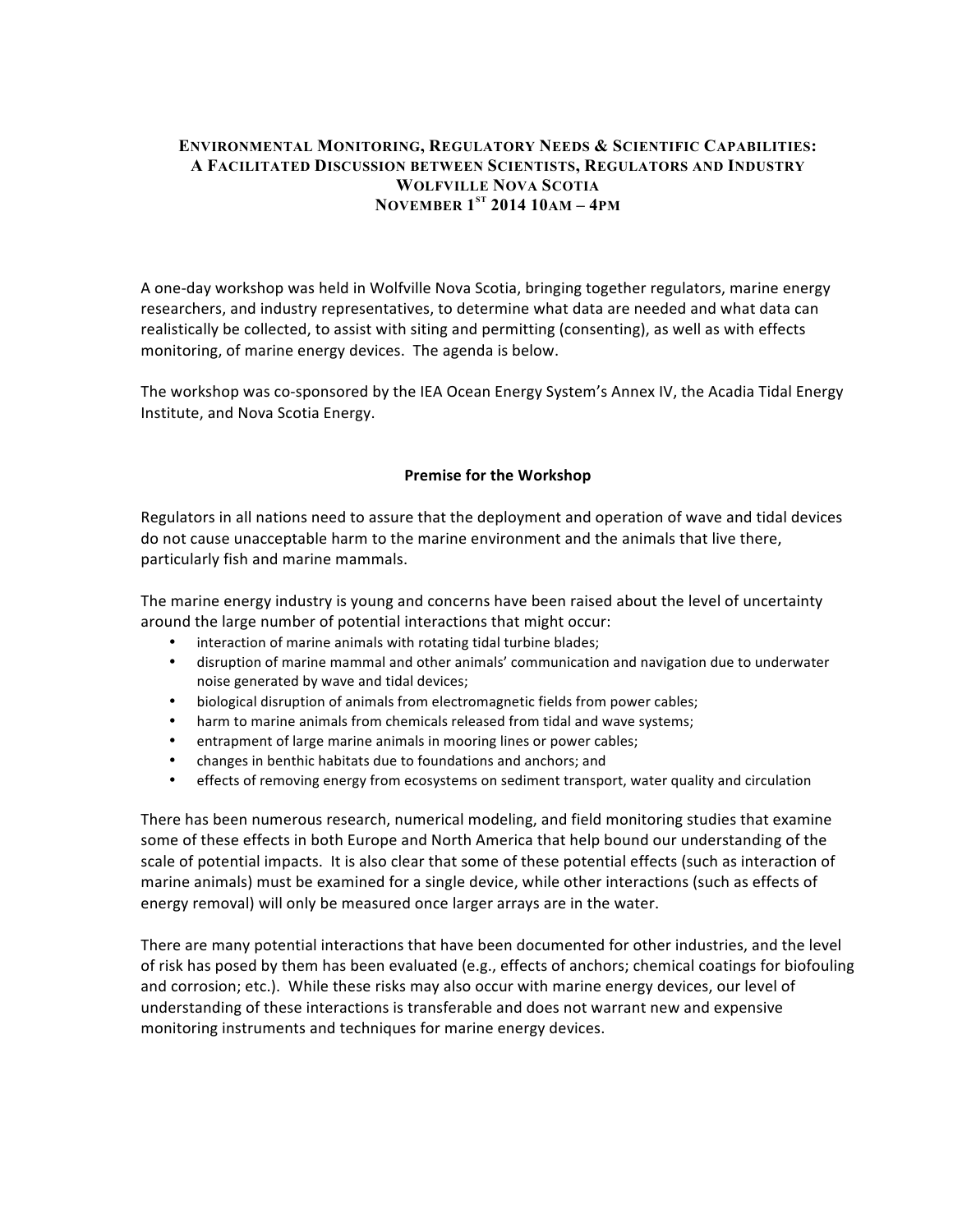### **ENVIRONMENTAL MONITORING, REGULATORY NEEDS & SCIENTIFIC CAPABILITIES: A FACILITATED DISCUSSION BETWEEN SCIENTISTS, REGULATORS AND INDUSTRY WOLFVILLE NOVA SCOTIA NOVEMBER 1ST 2014 10AM – 4PM**

A one-day workshop was held in Wolfville Nova Scotia, bringing together regulators, marine energy researchers, and industry representatives, to determine what data are needed and what data can realistically be collected, to assist with siting and permitting (consenting), as well as with effects monitoring, of marine energy devices. The agenda is below.

The workshop was co-sponsored by the IEA Ocean Energy System's Annex IV, the Acadia Tidal Energy Institute, and Nova Scotia Energy.

### **Premise for the Workshop**

Regulators in all nations need to assure that the deployment and operation of wave and tidal devices do not cause unacceptable harm to the marine environment and the animals that live there, particularly fish and marine mammals.

The marine energy industry is young and concerns have been raised about the level of uncertainty around the large number of potential interactions that might occur:

- interaction of marine animals with rotating tidal turbine blades;
- disruption of marine mammal and other animals' communication and navigation due to underwater noise generated by wave and tidal devices;
- biological disruption of animals from electromagnetic fields from power cables;
- harm to marine animals from chemicals released from tidal and wave systems;
- entrapment of large marine animals in mooring lines or power cables;
- changes in benthic habitats due to foundations and anchors; and
- effects of removing energy from ecosystems on sediment transport, water quality and circulation

There has been numerous research, numerical modeling, and field monitoring studies that examine some of these effects in both Europe and North America that help bound our understanding of the scale of potential impacts. It is also clear that some of these potential effects (such as interaction of marine animals) must be examined for a single device, while other interactions (such as effects of energy removal) will only be measured once larger arrays are in the water.

There are many potential interactions that have been documented for other industries, and the level of risk has posed by them has been evaluated (e.g., effects of anchors; chemical coatings for biofouling and corrosion; etc.). While these risks may also occur with marine energy devices, our level of understanding of these interactions is transferable and does not warrant new and expensive monitoring instruments and techniques for marine energy devices.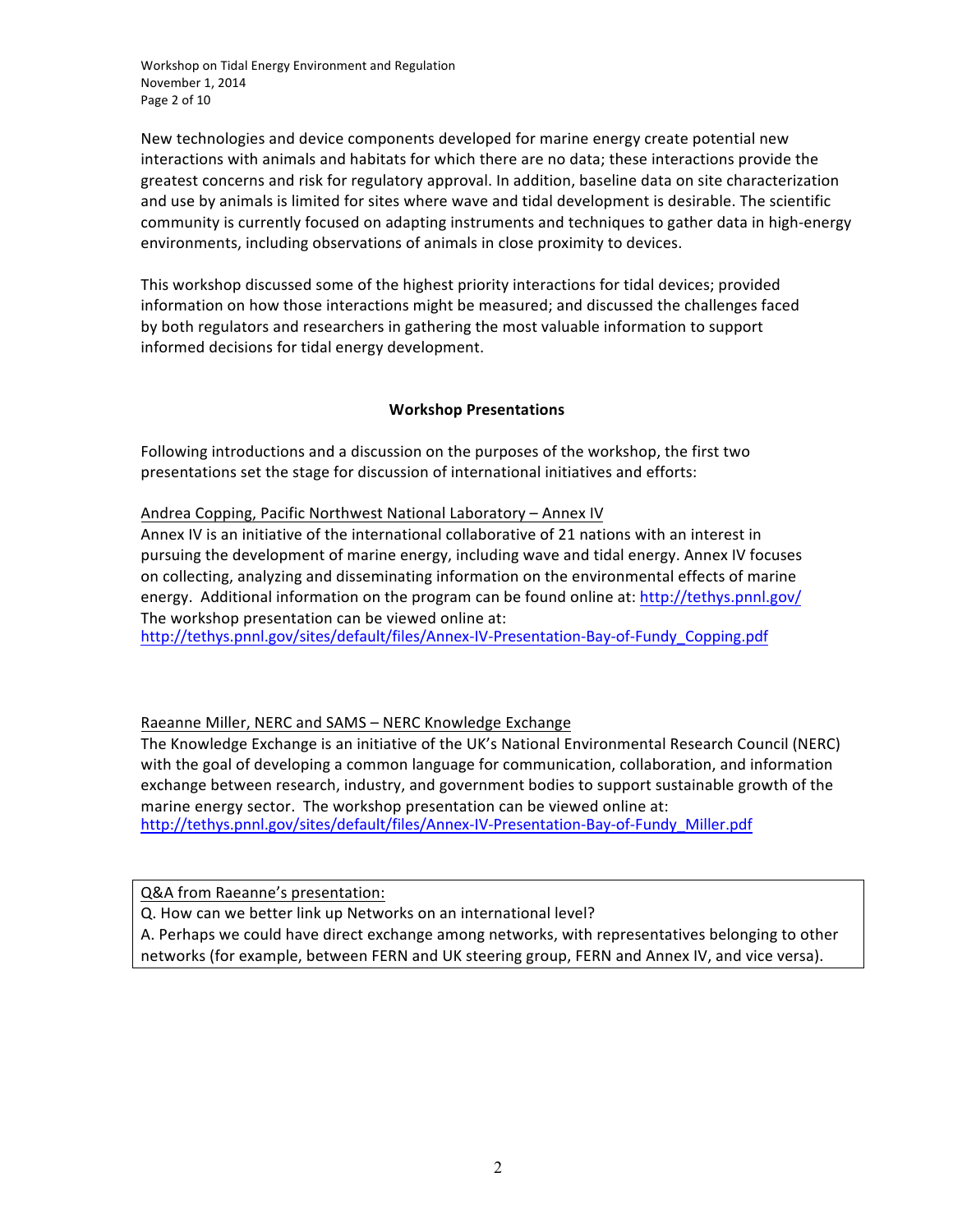Workshop on Tidal Energy Environment and Regulation November 1, 2014 Page 2 of 10

New technologies and device components developed for marine energy create potential new interactions with animals and habitats for which there are no data; these interactions provide the greatest concerns and risk for regulatory approval. In addition, baseline data on site characterization and use by animals is limited for sites where wave and tidal development is desirable. The scientific community is currently focused on adapting instruments and techniques to gather data in high-energy environments, including observations of animals in close proximity to devices.

This workshop discussed some of the highest priority interactions for tidal devices; provided information on how those interactions might be measured; and discussed the challenges faced by both regulators and researchers in gathering the most valuable information to support informed decisions for tidal energy development.

### **Workshop Presentations**

Following introductions and a discussion on the purposes of the workshop, the first two presentations set the stage for discussion of international initiatives and efforts:

Andrea Copping, Pacific Northwest National Laboratory - Annex IV

Annex IV is an initiative of the international collaborative of 21 nations with an interest in pursuing the development of marine energy, including wave and tidal energy. Annex IV focuses on collecting, analyzing and disseminating information on the environmental effects of marine energy. Additional information on the program can be found online at: http://tethys.pnnl.gov/ The workshop presentation can be viewed online at:

[http://tethys.pnnl.gov/sites/default/files/Annex-IV-Presentation-Bay-of-Fundy\\_Copping.pdf](http://tethys.pnnl.gov/sites/default/files/Annex-IV-Presentation-Bay-of-Fundy_Copping.pdf) 

### Raeanne Miller, NERC and SAMS - NERC Knowledge Exchange

The Knowledge Exchange is an initiative of the UK's National Environmental Research Council (NERC) with the goal of developing a common language for communication, collaboration, and information exchange between research, industry, and government bodies to support sustainable growth of the marine energy sector. The workshop presentation can be viewed online at: [http://tethys.pnnl.gov/sites/default/files/Annex-IV-Presentation-Bay-of-Fundy\\_Miller.pdf](http://tethys.pnnl.gov/sites/default/files/Annex-IV-Presentation-Bay-of-Fundy_Miller.pdf)

Q&A from Raeanne's presentation:

Q. How can we better link up Networks on an international level?

A. Perhaps we could have direct exchange among networks, with representatives belonging to other networks (for example, between FERN and UK steering group, FERN and Annex IV, and vice versa).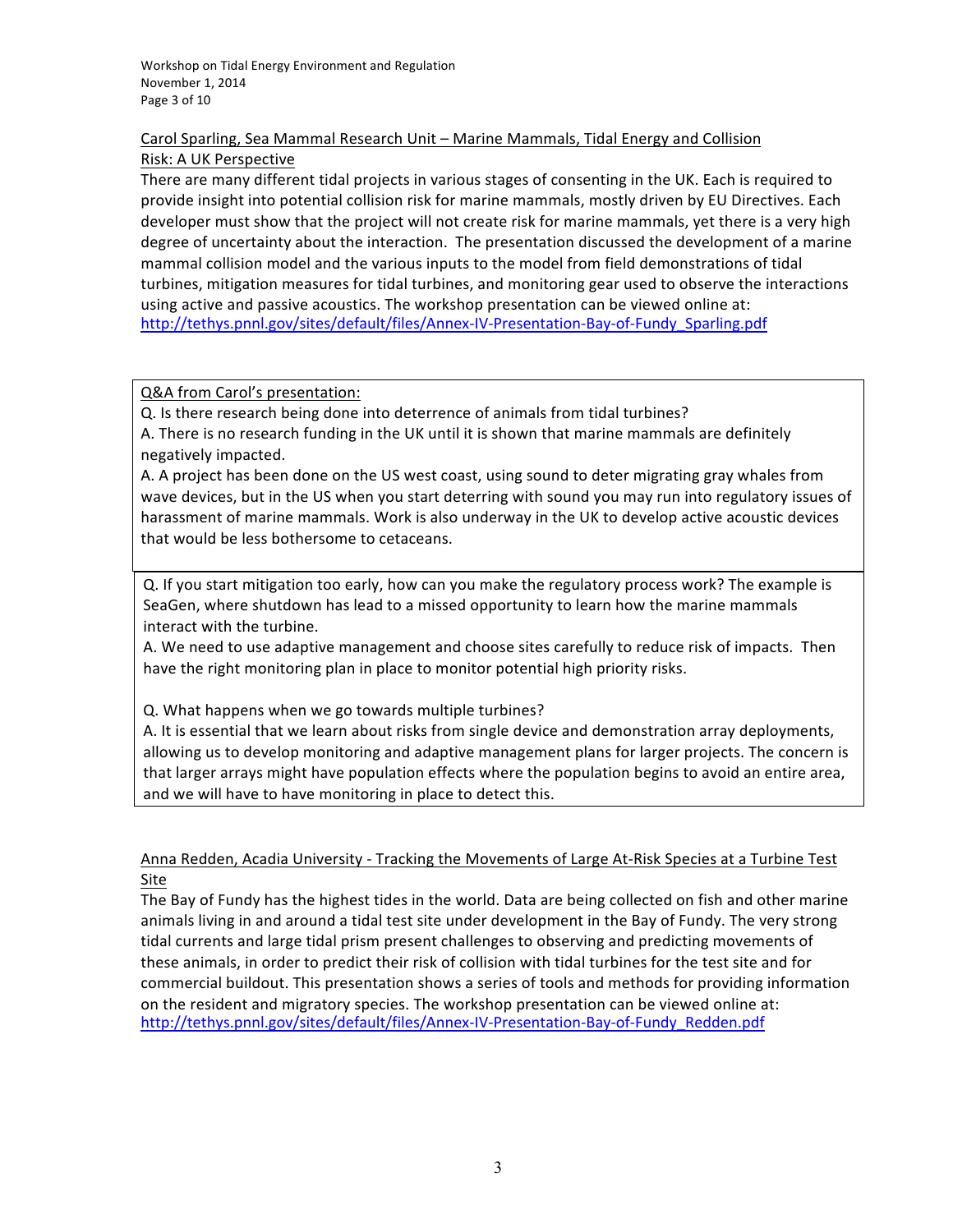# Carol Sparling, Sea Mammal Research Unit – Marine Mammals, Tidal Energy and Collision Risk: A UK Perspective

There are many different tidal projects in various stages of consenting in the UK. Each is required to provide insight into potential collision risk for marine mammals, mostly driven by EU Directives. Each developer must show that the project will not create risk for marine mammals, yet there is a very high degree of uncertainty about the interaction. The presentation discussed the development of a marine mammal collision model and the various inputs to the model from field demonstrations of tidal turbines, mitigation measures for tidal turbines, and monitoring gear used to observe the interactions using active and passive acoustics. The workshop presentation can be viewed online at: [http://tethys.pnnl.gov/sites/default/files/Annex-IV-Presentation-Bay-of-Fundy\\_Sparling.pdf](http://tethys.pnnl.gov/sites/default/files/Annex-IV-Presentation-Bay-of-Fundy_Sparling.pdf)

Q&A from Carol's presentation:

Q. Is there research being done into deterrence of animals from tidal turbines? A. There is no research funding in the UK until it is shown that marine mammals are definitely negatively impacted.

A. A project has been done on the US west coast, using sound to deter migrating gray whales from wave devices, but in the US when you start deterring with sound you may run into regulatory issues of harassment of marine mammals. Work is also underway in the UK to develop active acoustic devices that would be less bothersome to cetaceans.

Q. If you start mitigation too early, how can you make the regulatory process work? The example is SeaGen, where shutdown has lead to a missed opportunity to learn how the marine mammals interact with the turbine.

A. We need to use adaptive management and choose sites carefully to reduce risk of impacts. Then have the right monitoring plan in place to monitor potential high priority risks.

Q. What happens when we go towards multiple turbines?

A. It is essential that we learn about risks from single device and demonstration array deployments, allowing us to develop monitoring and adaptive management plans for larger projects. The concern is that larger arrays might have population effects where the population begins to avoid an entire area, and we will have to have monitoring in place to detect this.

# Anna Redden, Acadia University - Tracking the Movements of Large At-Risk Species at a Turbine Test **Site**

The Bay of Fundy has the highest tides in the world. Data are being collected on fish and other marine animals living in and around a tidal test site under development in the Bay of Fundy. The very strong tidal currents and large tidal prism present challenges to observing and predicting movements of these animals, in order to predict their risk of collision with tidal turbines for the test site and for commercial buildout. This presentation shows a series of tools and methods for providing information on the resident and migratory species. The workshop presentation can be viewed online at: [http://tethys.pnnl.gov/sites/default/files/Annex-IV-Presentation-Bay-of-Fundy\\_Redden.pdf](http://tethys.pnnl.gov/sites/default/files/Annex-IV-Presentation-Bay-of-Fundy_Redden.pdf)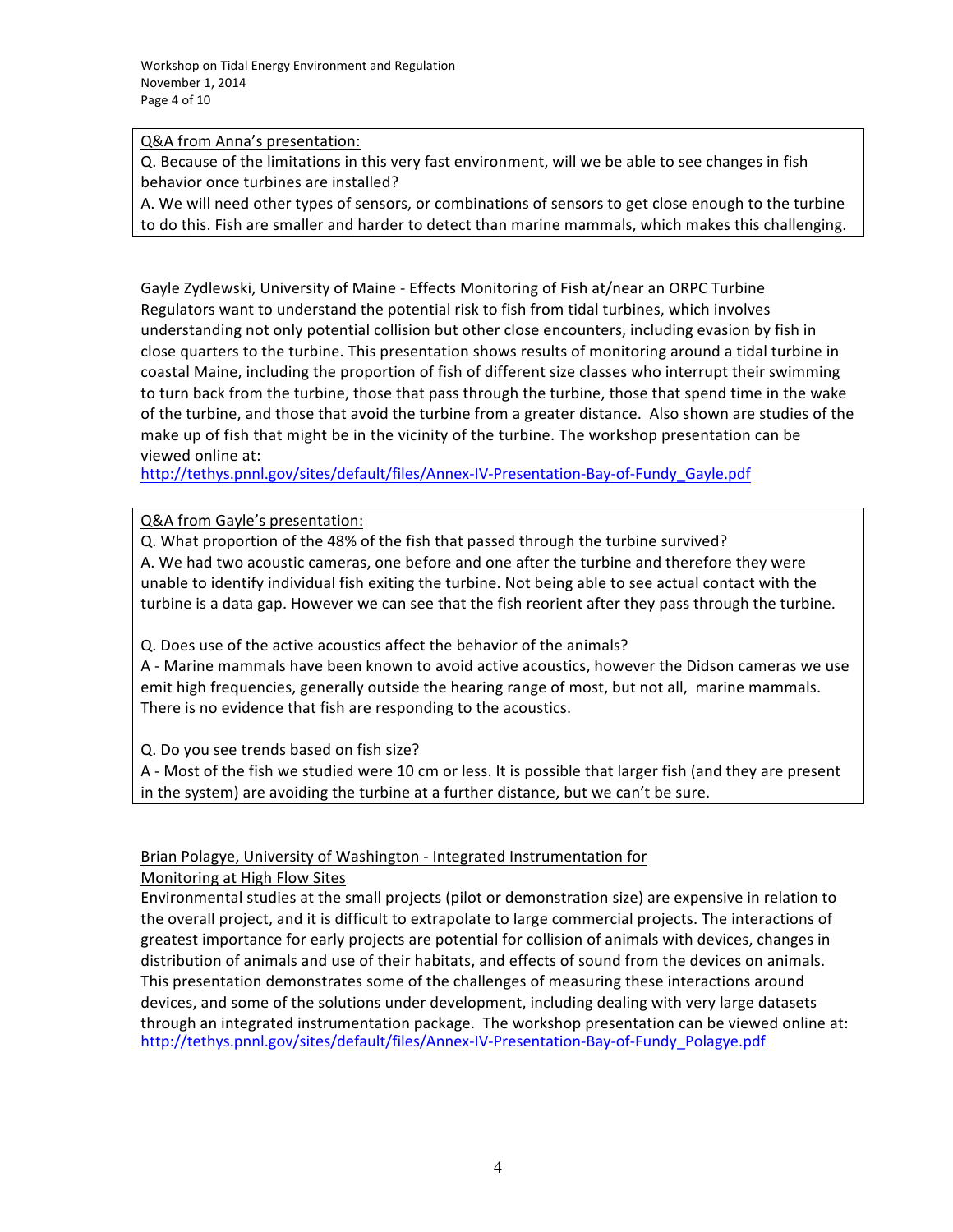Q&A from Anna's presentation:

Q. Because of the limitations in this very fast environment, will we be able to see changes in fish behavior once turbines are installed?

A. We will need other types of sensors, or combinations of sensors to get close enough to the turbine to do this. Fish are smaller and harder to detect than marine mammals, which makes this challenging.

Gayle Zydlewski, University of Maine - Effects Monitoring of Fish at/near an ORPC Turbine Regulators want to understand the potential risk to fish from tidal turbines, which involves understanding not only potential collision but other close encounters, including evasion by fish in close quarters to the turbine. This presentation shows results of monitoring around a tidal turbine in coastal Maine, including the proportion of fish of different size classes who interrupt their swimming to turn back from the turbine, those that pass through the turbine, those that spend time in the wake of the turbine, and those that avoid the turbine from a greater distance. Also shown are studies of the make up of fish that might be in the vicinity of the turbine. The workshop presentation can be viewed online at:

[http://tethys.pnnl.gov/sites/default/files/Annex-IV-Presentation-Bay-of-Fundy\\_Gayle.pdf](http://tethys.pnnl.gov/sites/default/files/Annex-IV-Presentation-Bay-of-Fundy_Gayle.pdf)

Q&A from Gayle's presentation:

Q. What proportion of the 48% of the fish that passed through the turbine survived? A. We had two acoustic cameras, one before and one after the turbine and therefore they were unable to identify individual fish exiting the turbine. Not being able to see actual contact with the turbine is a data gap. However we can see that the fish reorient after they pass through the turbine.

Q. Does use of the active acoustics affect the behavior of the animals?

A - Marine mammals have been known to avoid active acoustics, however the Didson cameras we use emit high frequencies, generally outside the hearing range of most, but not all, marine mammals. There is no evidence that fish are responding to the acoustics.

Q. Do you see trends based on fish size?

A - Most of the fish we studied were 10 cm or less. It is possible that larger fish (and they are present in the system) are avoiding the turbine at a further distance, but we can't be sure.

Brian Polagye, University of Washington - Integrated Instrumentation for

Monitoring at High Flow Sites

Environmental studies at the small projects (pilot or demonstration size) are expensive in relation to the overall project, and it is difficult to extrapolate to large commercial projects. The interactions of greatest importance for early projects are potential for collision of animals with devices, changes in distribution of animals and use of their habitats, and effects of sound from the devices on animals. This presentation demonstrates some of the challenges of measuring these interactions around devices, and some of the solutions under development, including dealing with very large datasets through an integrated instrumentation package. The workshop presentation can be viewed online at: [http://tethys.pnnl.gov/sites/default/files/Annex-IV-Presentation-Bay-of-Fundy\\_Polagye.pdf](http://tethys.pnnl.gov/sites/default/files/Annex-IV-Presentation-Bay-of-Fundy_Polagye.pdf)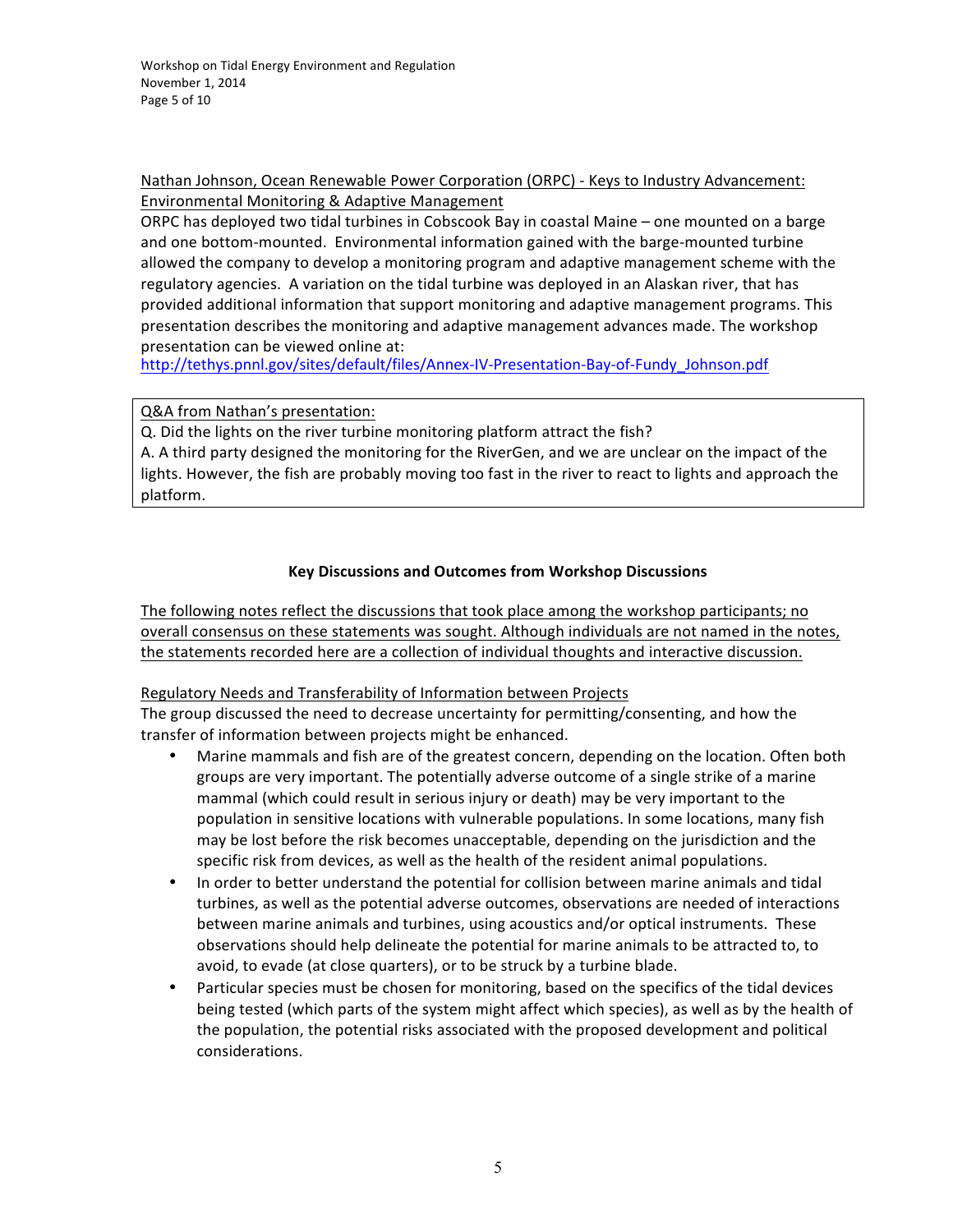Workshop on Tidal Energy Environment and Regulation November 1, 2014 Page 5 of 10

Nathan Johnson, Ocean Renewable Power Corporation (ORPC) - Keys to Industry Advancement: Environmental Monitoring & Adaptive Management

ORPC has deployed two tidal turbines in Cobscook Bay in coastal Maine – one mounted on a barge and one bottom-mounted. Environmental information gained with the barge-mounted turbine allowed the company to develop a monitoring program and adaptive management scheme with the regulatory agencies. A variation on the tidal turbine was deployed in an Alaskan river, that has provided additional information that support monitoring and adaptive management programs. This presentation describes the monitoring and adaptive management advances made. The workshop presentation can be viewed online at:

[http://tethys.pnnl.gov/sites/default/files/Annex-IV-Presentation-Bay-of-Fundy\\_Johnson.pdf](http://tethys.pnnl.gov/sites/default/files/Annex-IV-Presentation-Bay-of-Fundy_Johnson.pdf)

Q&A from Nathan's presentation:

Q. Did the lights on the river turbine monitoring platform attract the fish?

A. A third party designed the monitoring for the RiverGen, and we are unclear on the impact of the lights. However, the fish are probably moving too fast in the river to react to lights and approach the platform. 

### **Key Discussions and Outcomes from Workshop Discussions**

The following notes reflect the discussions that took place among the workshop participants; no overall consensus on these statements was sought. Although individuals are not named in the notes, the statements recorded here are a collection of individual thoughts and interactive discussion.

### Regulatory Needs and Transferability of Information between Projects

The group discussed the need to decrease uncertainty for permitting/consenting, and how the transfer of information between projects might be enhanced.

- Marine mammals and fish are of the greatest concern, depending on the location. Often both groups are very important. The potentially adverse outcome of a single strike of a marine mammal (which could result in serious injury or death) may be very important to the population in sensitive locations with vulnerable populations. In some locations, many fish may be lost before the risk becomes unacceptable, depending on the jurisdiction and the specific risk from devices, as well as the health of the resident animal populations.
- In order to better understand the potential for collision between marine animals and tidal turbines, as well as the potential adverse outcomes, observations are needed of interactions between marine animals and turbines, using acoustics and/or optical instruments. These observations should help delineate the potential for marine animals to be attracted to, to avoid, to evade (at close quarters), or to be struck by a turbine blade.
- Particular species must be chosen for monitoring, based on the specifics of the tidal devices being tested (which parts of the system might affect which species), as well as by the health of the population, the potential risks associated with the proposed development and political considerations.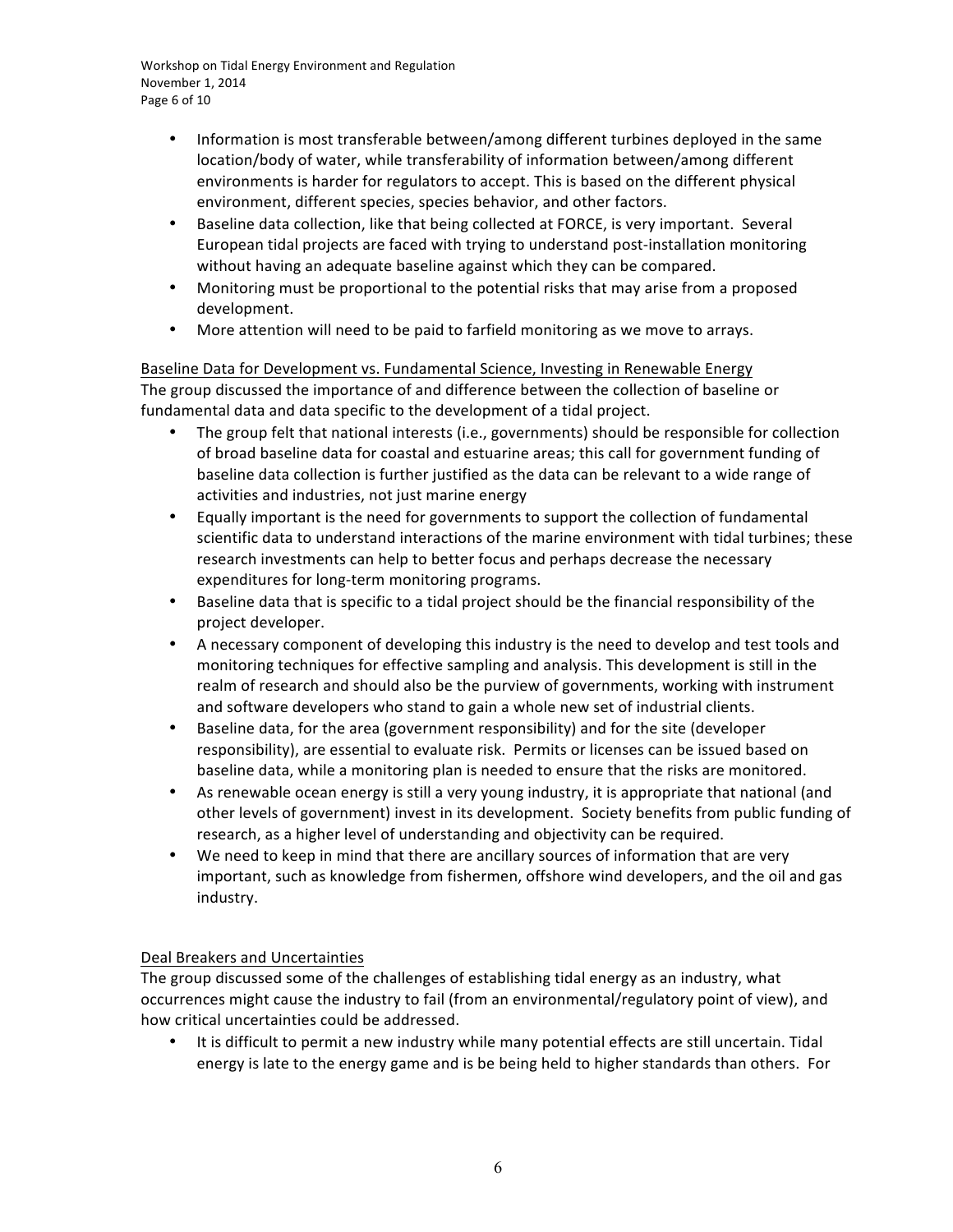Workshop on Tidal Energy Environment and Regulation November 1, 2014 Page 6 of 10

- Information is most transferable between/among different turbines deployed in the same location/body of water, while transferability of information between/among different environments is harder for regulators to accept. This is based on the different physical environment, different species, species behavior, and other factors.
- Baseline data collection, like that being collected at FORCE, is very important. Several European tidal projects are faced with trying to understand post-installation monitoring without having an adequate baseline against which they can be compared.
- Monitoring must be proportional to the potential risks that may arise from a proposed development.
- More attention will need to be paid to farfield monitoring as we move to arrays.

Baseline Data for Development vs. Fundamental Science, Investing in Renewable Energy The group discussed the importance of and difference between the collection of baseline or fundamental data and data specific to the development of a tidal project.

- The group felt that national interests (i.e., governments) should be responsible for collection of broad baseline data for coastal and estuarine areas; this call for government funding of baseline data collection is further justified as the data can be relevant to a wide range of activities and industries, not just marine energy
- Equally important is the need for governments to support the collection of fundamental scientific data to understand interactions of the marine environment with tidal turbines; these research investments can help to better focus and perhaps decrease the necessary expenditures for long-term monitoring programs.
- Baseline data that is specific to a tidal project should be the financial responsibility of the project developer.
- A necessary component of developing this industry is the need to develop and test tools and monitoring techniques for effective sampling and analysis. This development is still in the realm of research and should also be the purview of governments, working with instrument and software developers who stand to gain a whole new set of industrial clients.
- Baseline data, for the area (government responsibility) and for the site (developer responsibility), are essential to evaluate risk. Permits or licenses can be issued based on baseline data, while a monitoring plan is needed to ensure that the risks are monitored.
- As renewable ocean energy is still a very young industry, it is appropriate that national (and other levels of government) invest in its development. Society benefits from public funding of research, as a higher level of understanding and objectivity can be required.
- We need to keep in mind that there are ancillary sources of information that are very important, such as knowledge from fishermen, offshore wind developers, and the oil and gas industry.

# Deal Breakers and Uncertainties

The group discussed some of the challenges of establishing tidal energy as an industry, what occurrences might cause the industry to fail (from an environmental/regulatory point of view), and how critical uncertainties could be addressed.

It is difficult to permit a new industry while many potential effects are still uncertain. Tidal energy is late to the energy game and is be being held to higher standards than others. For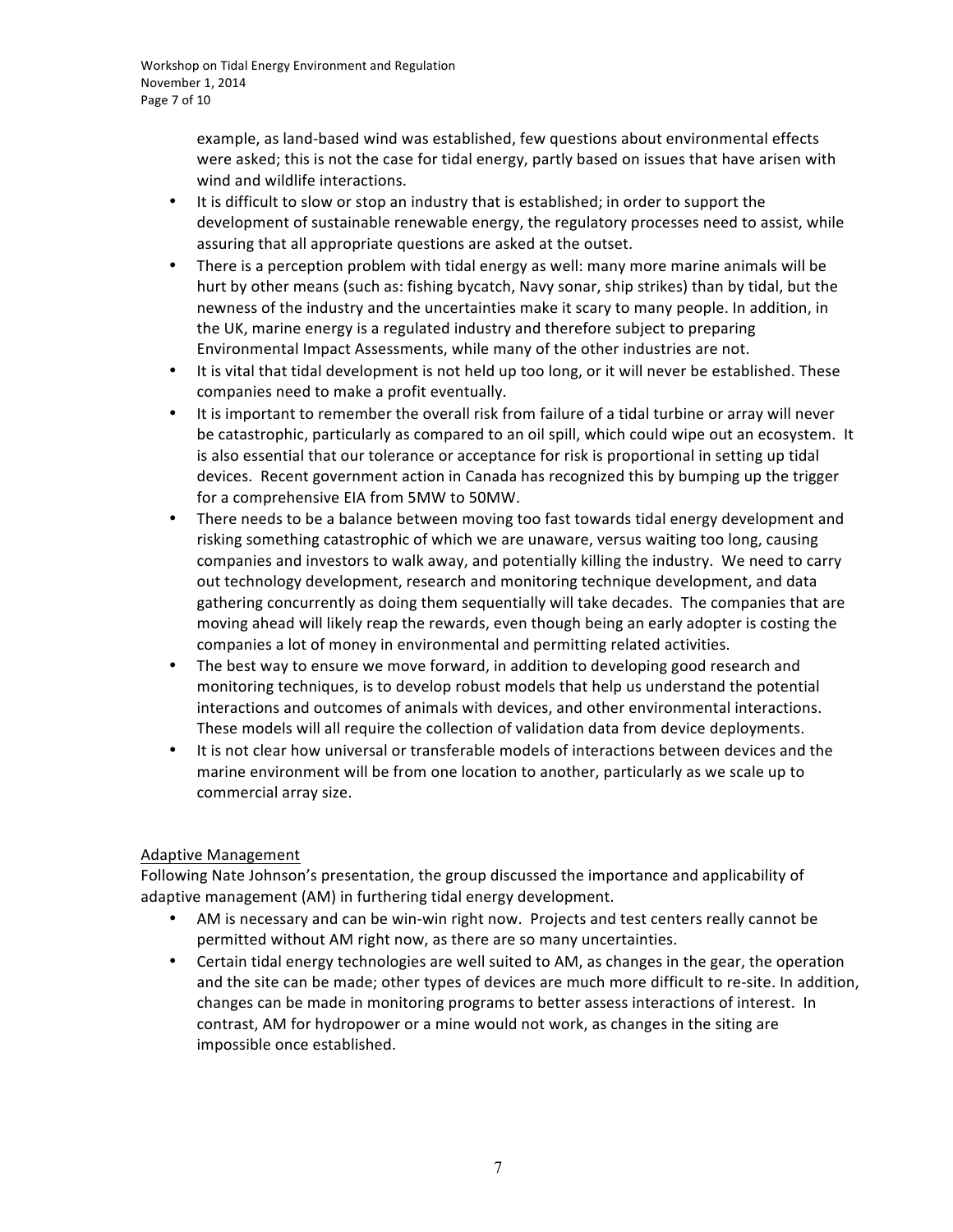Workshop on Tidal Energy Environment and Regulation November 1, 2014 Page 7 of 10

> example, as land-based wind was established, few questions about environmental effects were asked; this is not the case for tidal energy, partly based on issues that have arisen with wind and wildlife interactions.

- It is difficult to slow or stop an industry that is established; in order to support the development of sustainable renewable energy, the regulatory processes need to assist, while assuring that all appropriate questions are asked at the outset.
- There is a perception problem with tidal energy as well: many more marine animals will be hurt by other means (such as: fishing bycatch, Navy sonar, ship strikes) than by tidal, but the newness of the industry and the uncertainties make it scary to many people. In addition, in the UK, marine energy is a regulated industry and therefore subject to preparing Environmental Impact Assessments, while many of the other industries are not.
- It is vital that tidal development is not held up too long, or it will never be established. These companies need to make a profit eventually.
- It is important to remember the overall risk from failure of a tidal turbine or array will never be catastrophic, particularly as compared to an oil spill, which could wipe out an ecosystem. It is also essential that our tolerance or acceptance for risk is proportional in setting up tidal devices. Recent government action in Canada has recognized this by bumping up the trigger for a comprehensive EIA from 5MW to 50MW.
- There needs to be a balance between moving too fast towards tidal energy development and risking something catastrophic of which we are unaware, versus waiting too long, causing companies and investors to walk away, and potentially killing the industry. We need to carry out technology development, research and monitoring technique development, and data gathering concurrently as doing them sequentially will take decades. The companies that are moving ahead will likely reap the rewards, even though being an early adopter is costing the companies a lot of money in environmental and permitting related activities.
- The best way to ensure we move forward, in addition to developing good research and monitoring techniques, is to develop robust models that help us understand the potential interactions and outcomes of animals with devices, and other environmental interactions. These models will all require the collection of validation data from device deployments.
- It is not clear how universal or transferable models of interactions between devices and the marine environment will be from one location to another, particularly as we scale up to commercial array size.

### Adaptive Management

Following Nate Johnson's presentation, the group discussed the importance and applicability of adaptive management (AM) in furthering tidal energy development.

- AM is necessary and can be win-win right now. Projects and test centers really cannot be permitted without AM right now, as there are so many uncertainties.
- Certain tidal energy technologies are well suited to AM, as changes in the gear, the operation and the site can be made; other types of devices are much more difficult to re-site. In addition, changes can be made in monitoring programs to better assess interactions of interest. In contrast, AM for hydropower or a mine would not work, as changes in the siting are impossible once established.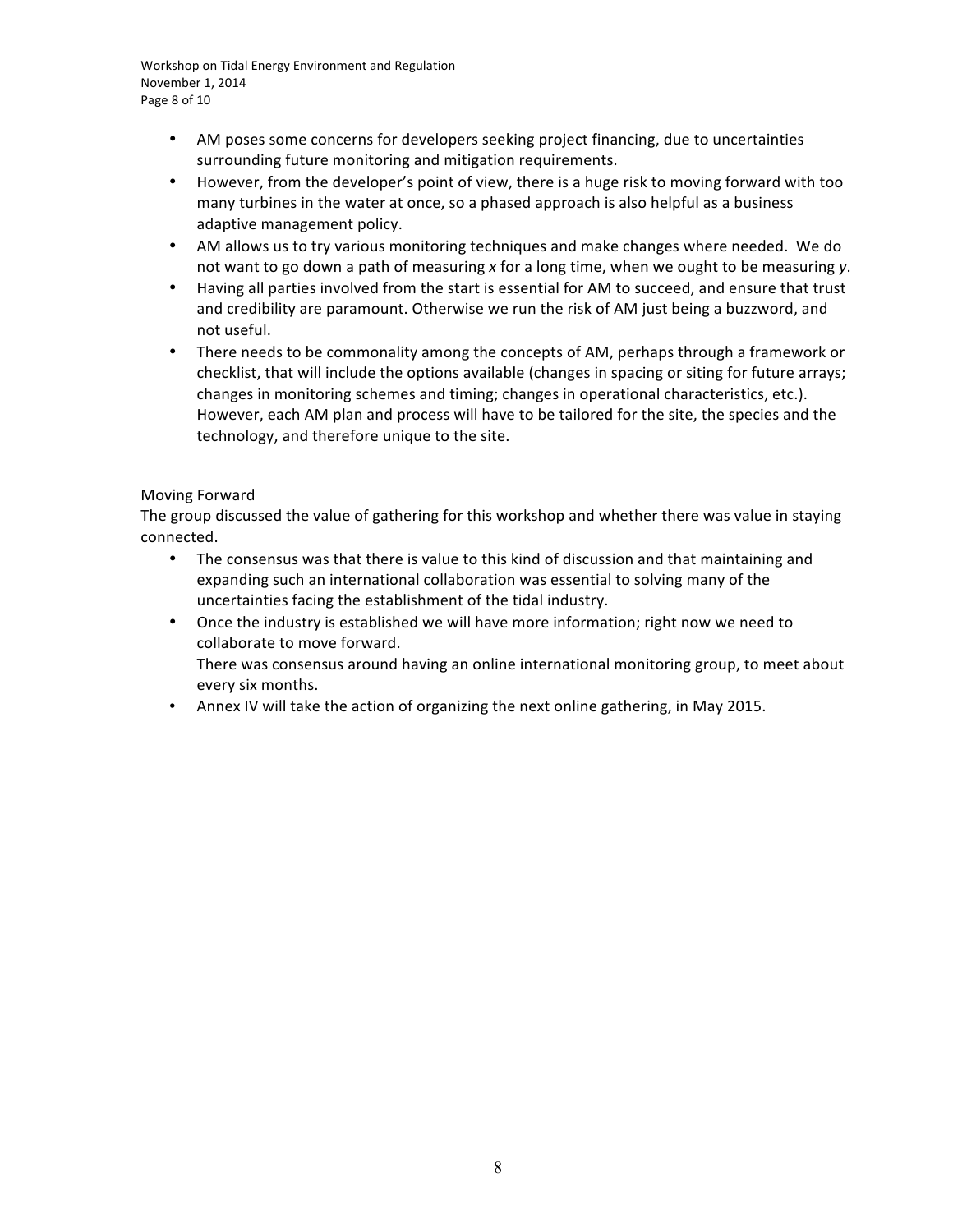Workshop on Tidal Energy Environment and Regulation November 1, 2014 Page 8 of 10

- AM poses some concerns for developers seeking project financing, due to uncertainties surrounding future monitoring and mitigation requirements.
- However, from the developer's point of view, there is a huge risk to moving forward with too many turbines in the water at once, so a phased approach is also helpful as a business adaptive management policy.
- AM allows us to try various monitoring techniques and make changes where needed. We do not want to go down a path of measuring x for a long time, when we ought to be measuring y.
- Having all parties involved from the start is essential for AM to succeed, and ensure that trust and credibility are paramount. Otherwise we run the risk of AM just being a buzzword, and not useful.
- There needs to be commonality among the concepts of AM, perhaps through a framework or checklist, that will include the options available (changes in spacing or siting for future arrays; changes in monitoring schemes and timing; changes in operational characteristics, etc.). However, each AM plan and process will have to be tailored for the site, the species and the technology, and therefore unique to the site.

### Moving Forward

The group discussed the value of gathering for this workshop and whether there was value in staying connected.

- The consensus was that there is value to this kind of discussion and that maintaining and expanding such an international collaboration was essential to solving many of the uncertainties facing the establishment of the tidal industry.
- Once the industry is established we will have more information; right now we need to collaborate to move forward. There was consensus around having an online international monitoring group, to meet about every six months.
- Annex IV will take the action of organizing the next online gathering, in May 2015.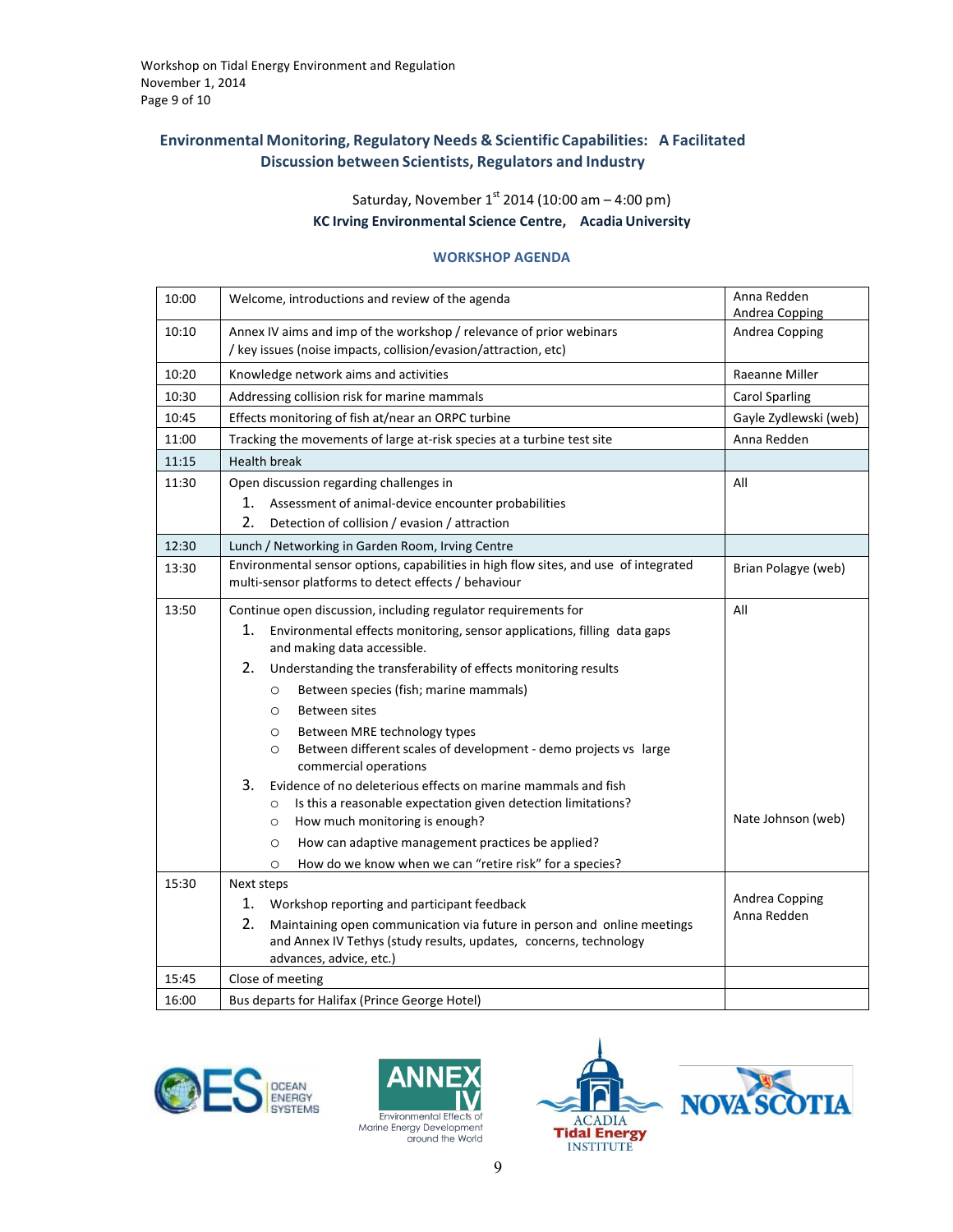### **Environmental Monitoring, Regulatory Needs & Scientific Capabilities: A Facilitated Discussion between Scientists, Regulators and Industry**

Saturday, November 1<sup>st</sup> 2014 (10:00 am – 4:00 pm)

**KC Irving Environmental Science Centre, Acadia University**

#### **WORKSHOP AGENDA**

| 10:00 | Welcome, introductions and review of the agenda                                                                                                                     | Anna Redden<br>Andrea Copping |  |  |  |
|-------|---------------------------------------------------------------------------------------------------------------------------------------------------------------------|-------------------------------|--|--|--|
| 10:10 | Annex IV aims and imp of the workshop / relevance of prior webinars<br>/ key issues (noise impacts, collision/evasion/attraction, etc)                              | Andrea Copping                |  |  |  |
| 10:20 | Knowledge network aims and activities                                                                                                                               | Raeanne Miller                |  |  |  |
| 10:30 | Addressing collision risk for marine mammals                                                                                                                        | <b>Carol Sparling</b>         |  |  |  |
| 10:45 | Effects monitoring of fish at/near an ORPC turbine                                                                                                                  | Gayle Zydlewski (web)         |  |  |  |
| 11:00 | Tracking the movements of large at-risk species at a turbine test site                                                                                              | Anna Redden                   |  |  |  |
| 11:15 | <b>Health break</b>                                                                                                                                                 |                               |  |  |  |
| 11:30 | Open discussion regarding challenges in                                                                                                                             | All                           |  |  |  |
|       | 1.<br>Assessment of animal-device encounter probabilities                                                                                                           |                               |  |  |  |
|       | 2.<br>Detection of collision / evasion / attraction                                                                                                                 |                               |  |  |  |
| 12:30 | Lunch / Networking in Garden Room, Irving Centre                                                                                                                    |                               |  |  |  |
| 13:30 | Environmental sensor options, capabilities in high flow sites, and use of integrated<br>Brian Polagye (web)<br>multi-sensor platforms to detect effects / behaviour |                               |  |  |  |
| 13:50 | Continue open discussion, including regulator requirements for                                                                                                      | All                           |  |  |  |
|       | 1.<br>Environmental effects monitoring, sensor applications, filling data gaps<br>and making data accessible.                                                       |                               |  |  |  |
|       | 2.<br>Understanding the transferability of effects monitoring results                                                                                               |                               |  |  |  |
|       | Between species (fish; marine mammals)<br>$\circ$                                                                                                                   |                               |  |  |  |
|       | Between sites<br>$\circ$                                                                                                                                            |                               |  |  |  |
|       | Between MRE technology types<br>$\circ$                                                                                                                             |                               |  |  |  |
|       | Between different scales of development - demo projects vs large<br>$\circ$<br>commercial operations                                                                |                               |  |  |  |
|       | 3.<br>Evidence of no deleterious effects on marine mammals and fish                                                                                                 |                               |  |  |  |
|       | Is this a reasonable expectation given detection limitations?<br>$\circ$                                                                                            |                               |  |  |  |
|       | How much monitoring is enough?<br>$\circ$                                                                                                                           | Nate Johnson (web)            |  |  |  |
|       | How can adaptive management practices be applied?<br>$\circ$                                                                                                        |                               |  |  |  |
|       | How do we know when we can "retire risk" for a species?<br>$\circ$                                                                                                  |                               |  |  |  |
| 15:30 | Next steps                                                                                                                                                          | Andrea Copping                |  |  |  |
|       | 1.<br>Workshop reporting and participant feedback                                                                                                                   | Anna Redden                   |  |  |  |
|       | 2.<br>Maintaining open communication via future in person and online meetings<br>and Annex IV Tethys (study results, updates, concerns, technology                  |                               |  |  |  |
|       | advances, advice, etc.)                                                                                                                                             |                               |  |  |  |
| 15:45 | Close of meeting                                                                                                                                                    |                               |  |  |  |
| 16:00 | Bus departs for Halifax (Prince George Hotel)                                                                                                                       |                               |  |  |  |